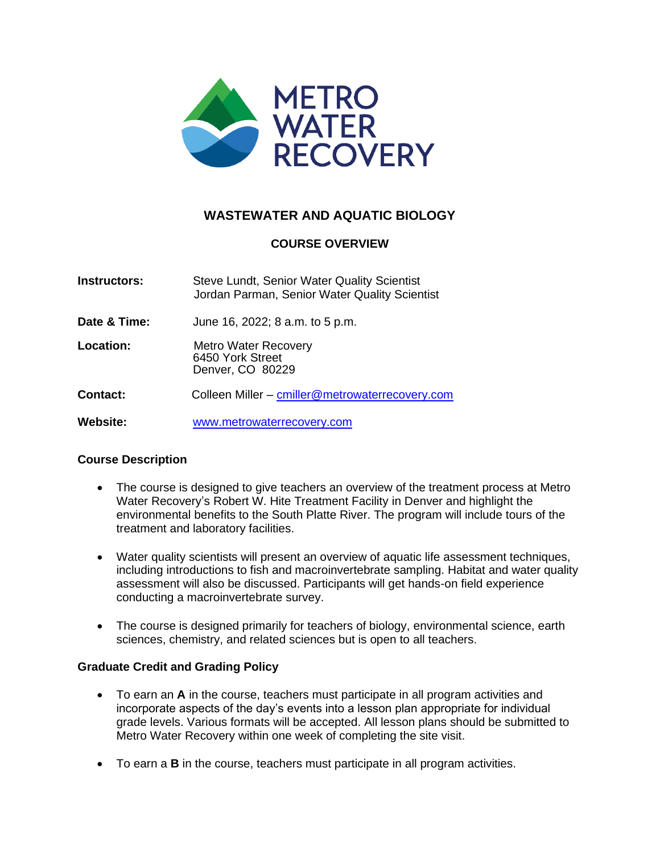

# **WASTEWATER AND AQUATIC BIOLOGY**

# **COURSE OVERVIEW**

| <b>Instructors:</b> | Steve Lundt, Senior Water Quality Scientist<br>Jordan Parman, Senior Water Quality Scientist |
|---------------------|----------------------------------------------------------------------------------------------|
| Date & Time:        | June 16, 2022; 8 a.m. to 5 p.m.                                                              |
| Location:           | <b>Metro Water Recovery</b><br>6450 York Street<br>Denver, CO 80229                          |
| <b>Contact:</b>     | Colleen Miller - cmiller@metrowaterrecovery.com                                              |
| <b>Website:</b>     | www.metrowaterrecovery.com                                                                   |

## **Course Description**

- The course is designed to give teachers an overview of the treatment process at Metro Water Recovery's Robert W. Hite Treatment Facility in Denver and highlight the environmental benefits to the South Platte River. The program will include tours of the treatment and laboratory facilities.
- Water quality scientists will present an overview of aquatic life assessment techniques, including introductions to fish and macroinvertebrate sampling. Habitat and water quality assessment will also be discussed. Participants will get hands-on field experience conducting a macroinvertebrate survey.
- The course is designed primarily for teachers of biology, environmental science, earth sciences, chemistry, and related sciences but is open to all teachers.

## **Graduate Credit and Grading Policy**

- To earn an **A** in the course, teachers must participate in all program activities and incorporate aspects of the day's events into a lesson plan appropriate for individual grade levels. Various formats will be accepted. All lesson plans should be submitted to Metro Water Recovery within one week of completing the site visit.
- To earn a **B** in the course, teachers must participate in all program activities.